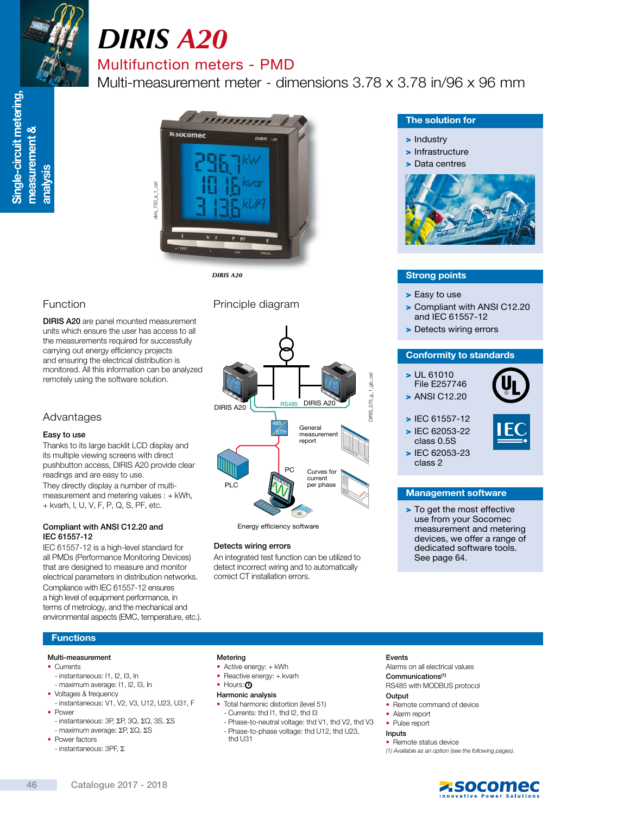

# *DIRIS A20*

### Multifunction meters - PMD

Multi-measurement meter - dimensions 3.78 x 3.78 in/96 x 96 mm



*DIRIS A20*

### Function

DIRIS A20 are panel mounted measurement units which ensure the user has access to all the measurements required for successfully carrying out energy efficiency projects and ensuring the electrical distribution is monitored. All this information can be analyzed remotely using the software solution.

### Advantages

#### Easy to use

Thanks to its large backlit LCD display and its multiple viewing screens with direct pushbutton access, DIRIS A20 provide clear readings and are easy to use. They directly display a number of multimeasurement and metering values : + kWh, + kvarh, I, U, V, F, P, Q, S, PF, etc.

#### Compliant with ANSI C12.20 and IEC 61557-12

IEC 61557-12 is a high-level standard for all PMDs (Performance Monitoring Devices) that are designed to measure and monitor electrical parameters in distribution networks. Compliance with IEC 61557-12 ensures a high level of equipment performance, in terms of metrology, and the mechanical and environmental aspects (EMC, temperature, etc.). Principle diagram



Energy efficiency software

#### Detects wiring errors

An integrated test function can be utilized to detect incorrect wiring and to automatically correct CT installation errors.

#### The solution for

#### > Industry

> Infrastructure



## Strong points

- > Easy to use
- > Compliant with ANSI C12.20 and IEC 61557-12
- > Detects wiring errors

#### Conformity to standards

> UL 61010 File E257746 > ANSI C12.20



> IEC 61557-12 > IEC 62053-22 class 0.5S



> IEC 62053-23 class 2

#### Management software

> To get the most effective use from your Socomec measurement and metering devices, we offer a range of dedicated software tools. See page 64.

#### **Functions**

#### Multi-measurement

- Currents
- instantaneous: I1, I2, I3, In
- maximum average: I1, I2, I3, In
- Voltages & frequency - instantaneous: V1, V2, V3, U12, U23, U31, F • Power
- instantaneous: 3P, ΣP, 3Q, ΣQ, 3S, ΣS
- maximum average: ΣP, ΣQ, ΣS • Power factors
- instantaneous: 3PF, Σ

#### Metering

- Active energy: + kWh
- Reactive energy: + kvarh • Hours: **4**

### Harmonic analysis

- Total harmonic distortion (level 51)
- Currents: thd I1, thd I2, thd I3
- Phase-to-neutral voltage: thd V1, thd V2, thd V3 - Phase-to-phase voltage: thd U12, thd U23, thd U31

#### Events

Alarms on all electrical values Communications(1)

RS485 with MODBUS protocol

#### **Output**

- Remote command of device
- Alarm report
- Pulse report

#### Inputs

• Remote status device (1) Available as an option (see the following pages).



z socomec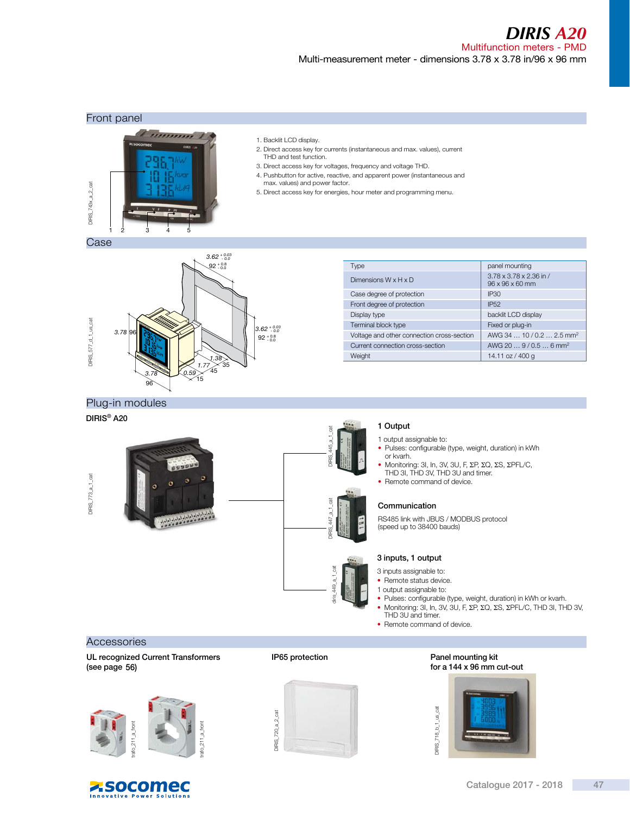*DIRIS A20*

#### Multifunction meters - PMD Multi-measurement meter - dimensions 3.78 x 3.78 in/96 x 96 mm

#### Front panel





- 2. Direct access key for currents (instantaneous and max. values), current THD and test function.
- 3. Direct access key for voltages, frequency and voltage THD.
- 4. Pushbutton for active, reactive, and apparent power (instantaneous and max. values) and power factor.
- 5. Direct access key for energies, hour meter and programming menu.

Case



| Type                                       | panel mounting                                         |
|--------------------------------------------|--------------------------------------------------------|
| Dimensions $W \times H \times D$           | 3.78 x 3.78 x 2.36 in /<br>$96 \times 96 \times 60$ mm |
| Case degree of protection                  | <b>IP30</b>                                            |
| Front degree of protection                 | <b>IP52</b>                                            |
| Display type                               | backlit LCD display                                    |
| Terminal block type                        | Fixed or plug-in                                       |
| Voltage and other connection cross-section | AWG 34  10/0.2  2.5 mm <sup>2</sup>                    |
| Current connection cross-section           | AWG 20 $\dots$ 9 / 0.5 $\dots$ 6 mm <sup>2</sup>       |
| Weight                                     | 14.11 oz / 400 g                                       |

#### Plug-in modules

#### DIRIS® A20



### 1 Output

DIRIS\_445\_a\_1\_cat

ā

DIRIS 447\_a\_1\_cat

 $3$  TPC 447 a

diris $_449a_1ca$ 

449 a 1

1 output assignable to:

- Pulses: configurable (type, weight, duration) in kWh or kvarh.
- Monitoring: 3I, In, 3V, 3U, F, ΣΡ, ΣQ, ΣS, ΣΡFL/C,<br>THD 3I, THD 3V, THD 3U and timer.
- Remote command of device.

#### Communication

RS485 link with JBUS / MODBUS protocol (speed up to 38400 bauds)

#### 3 inputs, 1 output

- 3 inputs assignable to:
- Remote status device.
- 1 output assignable to:
- Pulses: configurable (type, weight, duration) in kWh or kvarh. • Monitoring: 3I, In, 3V, 3U, F, ΣP, ΣQ, ΣS, ΣPFL/C, THD 3I, THD 3V,
- THD 3U and timer.
- Remote command of device.

#### **Accessories**

UL recognized Current Transformers (see page 56)



**ZSOCOMEC** 

ower Solutions



IP65 protection

### Panel mounting kit for a 144 x 96 mm cut-out

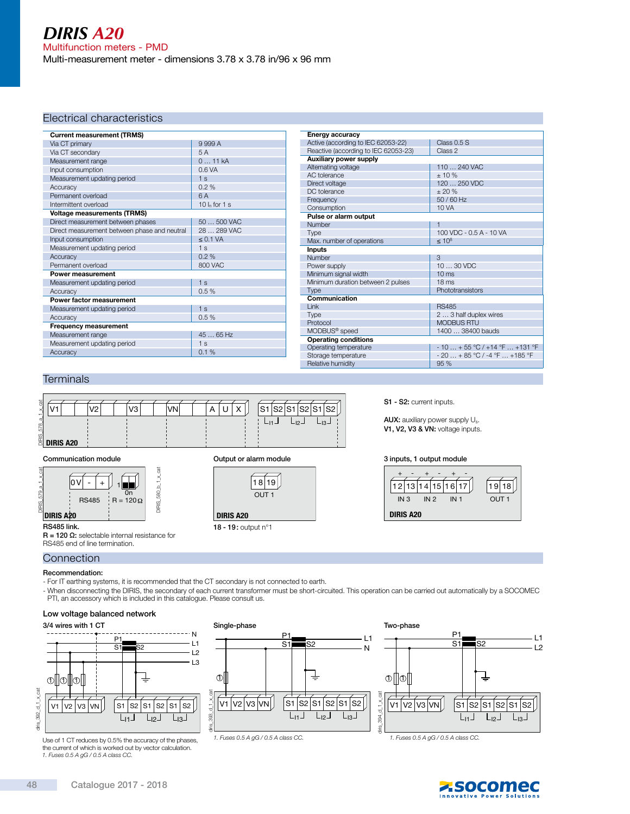#### Electrical characteristics

| <b>Current measurement (TRMS)</b>            |                  |  |
|----------------------------------------------|------------------|--|
| Via CT primary                               | 9999A            |  |
| Via CT secondary                             | 5A               |  |
| Measurement range                            | 011kA            |  |
| Input consumption                            | 0.6 VA           |  |
| Measurement updating period                  | 1 <sub>s</sub>   |  |
| Accuracy                                     | 0.2%             |  |
| Permanent overload                           | 6A               |  |
| Intermittent overload                        | 10 $I_n$ for 1 s |  |
| <b>Voltage measurements (TRMS)</b>           |                  |  |
| Direct measurement between phases            | $50500$ VAC      |  |
| Direct measurement between phase and neutral | 28  289 VAC      |  |
| Input consumption                            | $\leq$ 0.1 VA    |  |
| Measurement updating period                  | 1 <sub>s</sub>   |  |
| Accuracy                                     | 0.2%             |  |
| Permanent overload                           | 800 VAC          |  |
| Power measurement                            |                  |  |
| Measurement updating period                  | 1 <sub>s</sub>   |  |
| Accuracy                                     | 0.5%             |  |
| Power factor measurement                     |                  |  |
| Measurement updating period                  | 1 <sub>s</sub>   |  |
| Accuracy                                     | 0.5%             |  |
| Frequency measurement                        |                  |  |
| Measurement range                            | 45  65 Hz        |  |
| Measurement updating period                  | 1 <sub>s</sub>   |  |
| Accuracy                                     | 0.1%             |  |

| Energy accuracy                      |                                 |
|--------------------------------------|---------------------------------|
| Active (according to IEC 62053-22)   | Class 0.5 S                     |
| Reactive (according to IEC 62053-23) | Class 2                         |
| <b>Auxiliary power supply</b>        |                                 |
| Alternating voltage                  | 110  240 VAC                    |
| AC tolerance                         | $+10%$                          |
| Direct voltage                       | 120  250 VDC                    |
| DC tolerance                         | $+20%$                          |
| Frequency                            | $50/60$ Hz                      |
| Consumption                          | 10 VA                           |
| Pulse or alarm output                |                                 |
| Number                               | $\mathbf{1}$                    |
| Type                                 | 100 VDC - 0.5 A - 10 VA         |
| Max. number of operations            | $\leq 10^8$                     |
| <b>Inputs</b>                        |                                 |
| Number                               | $\mathcal{B}$                   |
| Power supply                         | $1030$ VDC                      |
| Minimum signal width                 | 10 <sub>ms</sub>                |
| Minimum duration between 2 pulses    | 18 <sub>ms</sub>                |
| Type                                 | Phototransistors                |
| Communication                        |                                 |
| Link                                 | <b>RS485</b>                    |
| Type                                 | 2  3 half duplex wires          |
| Protocol                             | <b>MODBUS RTU</b>               |
| MODBUS <sup>®</sup> speed            | 1400  38400 bauds               |
| <b>Operating conditions</b>          |                                 |
| Operating temperature                | $-10 + 55 °C / +14 °F  +131 °F$ |
| Storage temperature                  | $-20+85 °C/ -4 °F+185 °F$       |
| Relative humidity                    | 95 %                            |

#### **Terminals**



#### Communication module



R = 120 Ω: selectable internal resistance for RS485 end of line termination.



S1 - S2: current inputs.

AUX: auxiliary power supply Us. V1, V2, V3 & VN: voltage inputs.

#### Output or alarm module 3 inputs, 1 output module



### **Connection**

- Recommendation:
- For IT earthing systems, it is recommended that the CT secondary is not connected to earth.
- When disconnecting the DIRIS, the secondary of each current transformer must be short-circuited. This operation can be carried out automatically by a SOCOMEC PTI, an accessory which is included in this catalogue. Please consult us.

#### Low voltage balanced network



Use of 1 CT reduces by 0.5% the accuracy of the phases, the current of which is worked out by vector calculation. 1. Fuses 0.5 A gG / 0.5 A class CC.





1. Fuses 0.5 A gG / 0.5 A class CC. 1. Fuses 0.5 A gG / 0.5 A class CC.